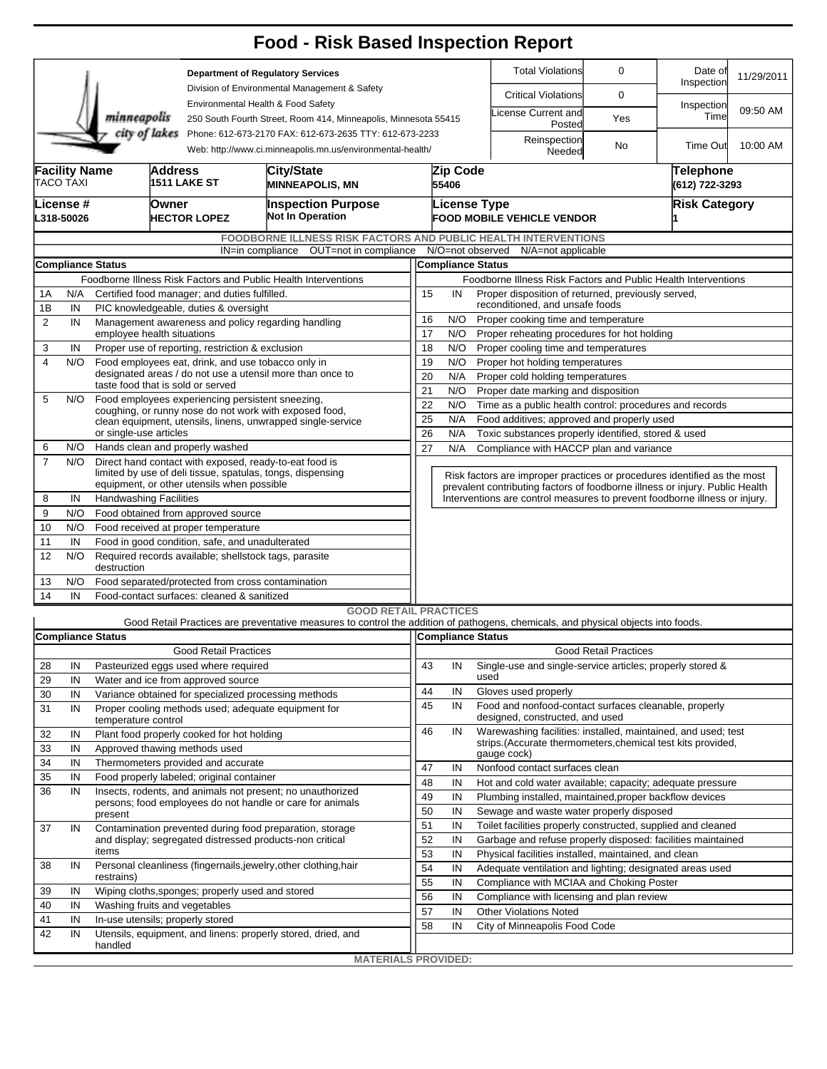|                                                                                                                                        |                                                                                                     |                               |                                  |                                                                                                                                                                    | <b>Food - Risk Based Inspection Report</b>                                                                                        |                                                                                                                                                          |                                                                                                   |                                                                                                                                  |                              |                       |            |  |  |  |  |  |
|----------------------------------------------------------------------------------------------------------------------------------------|-----------------------------------------------------------------------------------------------------|-------------------------------|----------------------------------|--------------------------------------------------------------------------------------------------------------------------------------------------------------------|-----------------------------------------------------------------------------------------------------------------------------------|----------------------------------------------------------------------------------------------------------------------------------------------------------|---------------------------------------------------------------------------------------------------|----------------------------------------------------------------------------------------------------------------------------------|------------------------------|-----------------------|------------|--|--|--|--|--|
|                                                                                                                                        |                                                                                                     |                               |                                  | <b>Department of Regulatory Services</b><br>Division of Environmental Management & Safety<br>Environmental Health & Food Safety                                    |                                                                                                                                   |                                                                                                                                                          |                                                                                                   | <b>Total Violations</b>                                                                                                          | 0                            | Date of<br>Inspection | 11/29/2011 |  |  |  |  |  |
|                                                                                                                                        |                                                                                                     |                               |                                  |                                                                                                                                                                    |                                                                                                                                   |                                                                                                                                                          |                                                                                                   | <b>Critical Violations</b>                                                                                                       | 0                            |                       |            |  |  |  |  |  |
|                                                                                                                                        |                                                                                                     | minneapolis                   |                                  |                                                                                                                                                                    | 250 South Fourth Street, Room 414, Minneapolis, Minnesota 55415                                                                   |                                                                                                                                                          |                                                                                                   | icense Current and<br>Posted                                                                                                     | Yes                          | Inspection<br>Time    | 09:50 AM   |  |  |  |  |  |
| city of lakes<br>Phone: 612-673-2170 FAX: 612-673-2635 TTY: 612-673-2233<br>Web: http://www.ci.minneapolis.mn.us/environmental-health/ |                                                                                                     |                               |                                  |                                                                                                                                                                    |                                                                                                                                   |                                                                                                                                                          |                                                                                                   | Reinspection<br>Needed                                                                                                           | No                           | Time Out              | 10:00 AM   |  |  |  |  |  |
|                                                                                                                                        | <b>Facility Name</b><br>TACO TAXI                                                                   |                               | <b>Address</b>                   | <b>1511 LAKE ST</b>                                                                                                                                                | City/State<br><b>MINNEAPOLIS, MN</b>                                                                                              |                                                                                                                                                          | Zip Code<br>55406                                                                                 |                                                                                                                                  | Telephone<br>(612) 722-3293  |                       |            |  |  |  |  |  |
|                                                                                                                                        | License #<br>L318-50026                                                                             |                               | Owner                            | <b>HECTOR LOPEZ</b>                                                                                                                                                | <b>Inspection Purpose</b><br><b>Not In Operation</b>                                                                              |                                                                                                                                                          |                                                                                                   | <b>License Type</b><br><b>FOOD MOBILE VEHICLE VENDOR</b>                                                                         | <b>Risk Category</b>         |                       |            |  |  |  |  |  |
|                                                                                                                                        |                                                                                                     |                               |                                  |                                                                                                                                                                    | <b>FOODBORNE ILLNESS RISK FACTORS AND PUBLIC HEALTH INTERVENTIONS</b>                                                             |                                                                                                                                                          |                                                                                                   |                                                                                                                                  |                              |                       |            |  |  |  |  |  |
|                                                                                                                                        |                                                                                                     |                               |                                  |                                                                                                                                                                    | IN=in compliance OUT=not in compliance                                                                                            |                                                                                                                                                          |                                                                                                   | N/O=not observed N/A=not applicable                                                                                              |                              |                       |            |  |  |  |  |  |
|                                                                                                                                        |                                                                                                     | <b>Compliance Status</b>      |                                  |                                                                                                                                                                    |                                                                                                                                   | <b>Compliance Status</b>                                                                                                                                 |                                                                                                   |                                                                                                                                  |                              |                       |            |  |  |  |  |  |
| 1A                                                                                                                                     | Foodborne Illness Risk Factors and Public Health Interventions                                      |                               |                                  |                                                                                                                                                                    |                                                                                                                                   |                                                                                                                                                          |                                                                                                   | Foodborne Illness Risk Factors and Public Health Interventions<br>15<br>Proper disposition of returned, previously served,<br>IN |                              |                       |            |  |  |  |  |  |
| 1Β                                                                                                                                     | Certified food manager; and duties fulfilled.<br>N/A<br>IN<br>PIC knowledgeable, duties & oversight |                               |                                  |                                                                                                                                                                    |                                                                                                                                   |                                                                                                                                                          | reconditioned, and unsafe foods                                                                   |                                                                                                                                  |                              |                       |            |  |  |  |  |  |
| 2                                                                                                                                      | IN                                                                                                  |                               |                                  | Management awareness and policy regarding handling                                                                                                                 |                                                                                                                                   | 16<br>N/O<br>Proper cooking time and temperature                                                                                                         |                                                                                                   |                                                                                                                                  |                              |                       |            |  |  |  |  |  |
|                                                                                                                                        |                                                                                                     | employee health situations    |                                  |                                                                                                                                                                    |                                                                                                                                   | 17<br>N/O<br>Proper reheating procedures for hot holding                                                                                                 |                                                                                                   |                                                                                                                                  |                              |                       |            |  |  |  |  |  |
| 3                                                                                                                                      | IN                                                                                                  |                               |                                  | Proper use of reporting, restriction & exclusion                                                                                                                   |                                                                                                                                   | 18                                                                                                                                                       | N/O                                                                                               | Proper cooling time and temperatures                                                                                             |                              |                       |            |  |  |  |  |  |
| $\overline{4}$                                                                                                                         | N/O                                                                                                 |                               |                                  | Food employees eat, drink, and use tobacco only in                                                                                                                 |                                                                                                                                   | 19<br>N/O<br>Proper hot holding temperatures                                                                                                             |                                                                                                   |                                                                                                                                  |                              |                       |            |  |  |  |  |  |
|                                                                                                                                        |                                                                                                     |                               |                                  | designated areas / do not use a utensil more than once to<br>taste food that is sold or served                                                                     |                                                                                                                                   |                                                                                                                                                          | 20<br>N/A<br>Proper cold holding temperatures<br>21<br>N/O<br>Proper date marking and disposition |                                                                                                                                  |                              |                       |            |  |  |  |  |  |
| 5                                                                                                                                      | N/O                                                                                                 |                               |                                  | Food employees experiencing persistent sneezing,                                                                                                                   |                                                                                                                                   |                                                                                                                                                          | 22<br>N/O<br>Time as a public health control: procedures and records                              |                                                                                                                                  |                              |                       |            |  |  |  |  |  |
|                                                                                                                                        |                                                                                                     |                               |                                  | coughing, or runny nose do not work with exposed food,                                                                                                             | clean equipment, utensils, linens, unwrapped single-service                                                                       | 25                                                                                                                                                       | N/A<br>Food additives; approved and properly used                                                 |                                                                                                                                  |                              |                       |            |  |  |  |  |  |
|                                                                                                                                        |                                                                                                     | or single-use articles        |                                  |                                                                                                                                                                    |                                                                                                                                   | 26<br>N/A<br>Toxic substances properly identified, stored & used                                                                                         |                                                                                                   |                                                                                                                                  |                              |                       |            |  |  |  |  |  |
| 6                                                                                                                                      | N/O                                                                                                 |                               |                                  | Hands clean and properly washed                                                                                                                                    |                                                                                                                                   | 27<br>N/A<br>Compliance with HACCP plan and variance                                                                                                     |                                                                                                   |                                                                                                                                  |                              |                       |            |  |  |  |  |  |
| $\overline{7}$                                                                                                                         | N/O                                                                                                 |                               |                                  | Direct hand contact with exposed, ready-to-eat food is<br>limited by use of deli tissue, spatulas, tongs, dispensing<br>equipment, or other utensils when possible |                                                                                                                                   | Risk factors are improper practices or procedures identified as the most<br>prevalent contributing factors of foodborne illness or injury. Public Health |                                                                                                   |                                                                                                                                  |                              |                       |            |  |  |  |  |  |
| 8                                                                                                                                      | IN                                                                                                  | <b>Handwashing Facilities</b> |                                  |                                                                                                                                                                    |                                                                                                                                   |                                                                                                                                                          |                                                                                                   | Interventions are control measures to prevent foodborne illness or injury.                                                       |                              |                       |            |  |  |  |  |  |
| 9                                                                                                                                      | N/O                                                                                                 |                               |                                  | Food obtained from approved source                                                                                                                                 |                                                                                                                                   |                                                                                                                                                          |                                                                                                   |                                                                                                                                  |                              |                       |            |  |  |  |  |  |
| 10                                                                                                                                     | N/O                                                                                                 |                               |                                  | Food received at proper temperature                                                                                                                                |                                                                                                                                   |                                                                                                                                                          |                                                                                                   |                                                                                                                                  |                              |                       |            |  |  |  |  |  |
| 11                                                                                                                                     | IN                                                                                                  |                               |                                  | Food in good condition, safe, and unadulterated                                                                                                                    |                                                                                                                                   |                                                                                                                                                          |                                                                                                   |                                                                                                                                  |                              |                       |            |  |  |  |  |  |
| 12                                                                                                                                     | N/O                                                                                                 | destruction                   |                                  | Required records available; shellstock tags, parasite                                                                                                              |                                                                                                                                   |                                                                                                                                                          |                                                                                                   |                                                                                                                                  |                              |                       |            |  |  |  |  |  |
| 13<br>14                                                                                                                               | N/O<br>IN                                                                                           |                               |                                  | Food separated/protected from cross contamination<br>Food-contact surfaces: cleaned & sanitized                                                                    |                                                                                                                                   |                                                                                                                                                          |                                                                                                   |                                                                                                                                  |                              |                       |            |  |  |  |  |  |
|                                                                                                                                        |                                                                                                     |                               |                                  |                                                                                                                                                                    | <b>GOOD RETAIL PRACTICES</b>                                                                                                      |                                                                                                                                                          |                                                                                                   |                                                                                                                                  |                              |                       |            |  |  |  |  |  |
|                                                                                                                                        |                                                                                                     |                               |                                  |                                                                                                                                                                    | Good Retail Practices are preventative measures to control the addition of pathogens, chemicals, and physical objects into foods. |                                                                                                                                                          |                                                                                                   |                                                                                                                                  |                              |                       |            |  |  |  |  |  |
|                                                                                                                                        |                                                                                                     | <b>Compliance Status</b>      |                                  |                                                                                                                                                                    |                                                                                                                                   | Compliance Status                                                                                                                                        |                                                                                                   |                                                                                                                                  |                              |                       |            |  |  |  |  |  |
|                                                                                                                                        |                                                                                                     |                               |                                  | <b>Good Retail Practices</b>                                                                                                                                       |                                                                                                                                   |                                                                                                                                                          |                                                                                                   |                                                                                                                                  | <b>Good Retail Practices</b> |                       |            |  |  |  |  |  |
| 28                                                                                                                                     | IN                                                                                                  |                               |                                  | Pasteurized eggs used where required                                                                                                                               |                                                                                                                                   | 43                                                                                                                                                       | IN                                                                                                | Single-use and single-service articles; properly stored &                                                                        |                              |                       |            |  |  |  |  |  |
| 29                                                                                                                                     | IN                                                                                                  |                               |                                  | Water and ice from approved source                                                                                                                                 |                                                                                                                                   | 44                                                                                                                                                       | IN                                                                                                | used<br>Gloves used properly                                                                                                     |                              |                       |            |  |  |  |  |  |
| 30<br>31                                                                                                                               | IN<br>IN                                                                                            |                               |                                  | Variance obtained for specialized processing methods<br>Proper cooling methods used; adequate equipment for                                                        |                                                                                                                                   | 45                                                                                                                                                       | IN                                                                                                | Food and nonfood-contact surfaces cleanable, properly                                                                            |                              |                       |            |  |  |  |  |  |
|                                                                                                                                        |                                                                                                     | temperature control           |                                  |                                                                                                                                                                    |                                                                                                                                   |                                                                                                                                                          |                                                                                                   | designed, constructed, and used                                                                                                  |                              |                       |            |  |  |  |  |  |
| 32                                                                                                                                     | IN                                                                                                  |                               |                                  | Plant food properly cooked for hot holding                                                                                                                         |                                                                                                                                   | 46                                                                                                                                                       | IN                                                                                                | Warewashing facilities: installed, maintained, and used; test                                                                    |                              |                       |            |  |  |  |  |  |
| 33                                                                                                                                     | IN                                                                                                  |                               |                                  | Approved thawing methods used                                                                                                                                      |                                                                                                                                   |                                                                                                                                                          |                                                                                                   | strips. (Accurate thermometers, chemical test kits provided,<br>gauge cock)                                                      |                              |                       |            |  |  |  |  |  |
| 34                                                                                                                                     | IN                                                                                                  |                               |                                  | Thermometers provided and accurate                                                                                                                                 |                                                                                                                                   | 47                                                                                                                                                       | IN                                                                                                | Nonfood contact surfaces clean                                                                                                   |                              |                       |            |  |  |  |  |  |
| 35                                                                                                                                     | IN                                                                                                  |                               |                                  | Food properly labeled; original container                                                                                                                          |                                                                                                                                   | 48                                                                                                                                                       | IN                                                                                                | Hot and cold water available; capacity; adequate pressure                                                                        |                              |                       |            |  |  |  |  |  |
| 36                                                                                                                                     | IN                                                                                                  |                               |                                  |                                                                                                                                                                    | Insects, rodents, and animals not present; no unauthorized<br>persons; food employees do not handle or care for animals           | 49                                                                                                                                                       | IN                                                                                                | Plumbing installed, maintained, proper backflow devices                                                                          |                              |                       |            |  |  |  |  |  |
|                                                                                                                                        |                                                                                                     | present                       |                                  |                                                                                                                                                                    |                                                                                                                                   | 50                                                                                                                                                       | IN                                                                                                | Sewage and waste water properly disposed                                                                                         |                              |                       |            |  |  |  |  |  |
| 37                                                                                                                                     | IN                                                                                                  |                               |                                  |                                                                                                                                                                    | Contamination prevented during food preparation, storage                                                                          | 51                                                                                                                                                       | IN                                                                                                | Toilet facilities properly constructed, supplied and cleaned                                                                     |                              |                       |            |  |  |  |  |  |
|                                                                                                                                        |                                                                                                     | items                         |                                  | and display; segregated distressed products-non critical                                                                                                           |                                                                                                                                   | 52                                                                                                                                                       | IN                                                                                                | Garbage and refuse properly disposed: facilities maintained                                                                      |                              |                       |            |  |  |  |  |  |
| 38                                                                                                                                     | IN                                                                                                  |                               |                                  |                                                                                                                                                                    | Personal cleanliness (fingernails, jewelry, other clothing, hair                                                                  | 53<br>54                                                                                                                                                 | IN<br>IN                                                                                          | Physical facilities installed, maintained, and clean<br>Adequate ventilation and lighting; designated areas used                 |                              |                       |            |  |  |  |  |  |
|                                                                                                                                        |                                                                                                     | restrains)                    |                                  |                                                                                                                                                                    |                                                                                                                                   |                                                                                                                                                          | IN                                                                                                | Compliance with MCIAA and Choking Poster                                                                                         |                              |                       |            |  |  |  |  |  |
| 39                                                                                                                                     | IN                                                                                                  |                               |                                  | Wiping cloths, sponges; properly used and stored                                                                                                                   |                                                                                                                                   | 55<br>56                                                                                                                                                 | IN                                                                                                | Compliance with licensing and plan review                                                                                        |                              |                       |            |  |  |  |  |  |
| 40                                                                                                                                     | IN                                                                                                  | Washing fruits and vegetables |                                  |                                                                                                                                                                    |                                                                                                                                   | 57                                                                                                                                                       | IN                                                                                                | <b>Other Violations Noted</b>                                                                                                    |                              |                       |            |  |  |  |  |  |
| 41                                                                                                                                     | IN                                                                                                  |                               | In-use utensils; properly stored |                                                                                                                                                                    | 58                                                                                                                                | IN                                                                                                                                                       | City of Minneapolis Food Code                                                                     |                                                                                                                                  |                              |                       |            |  |  |  |  |  |
| 42                                                                                                                                     | IN                                                                                                  | handled                       |                                  |                                                                                                                                                                    | Utensils, equipment, and linens: properly stored, dried, and                                                                      |                                                                                                                                                          |                                                                                                   |                                                                                                                                  |                              |                       |            |  |  |  |  |  |
|                                                                                                                                        |                                                                                                     |                               |                                  |                                                                                                                                                                    | <b>MATERIALS PROVIDED:</b>                                                                                                        |                                                                                                                                                          |                                                                                                   |                                                                                                                                  |                              |                       |            |  |  |  |  |  |